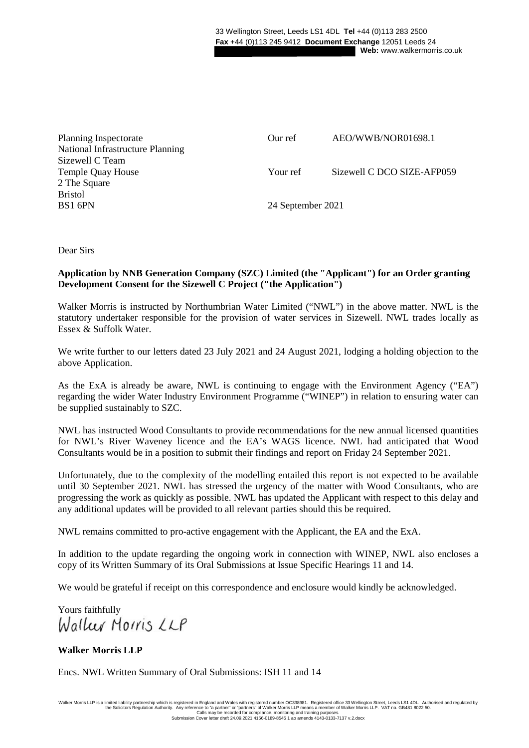| Planning Inspectorate            | Our ref           | AEO/WWB/NOR01698.1         |
|----------------------------------|-------------------|----------------------------|
| National Infrastructure Planning |                   |                            |
| Sizewell C Team                  |                   |                            |
| <b>Temple Quay House</b>         | Your ref          | Sizewell C DCO SIZE-AFP059 |
| 2 The Square                     |                   |                            |
| <b>Bristol</b>                   |                   |                            |
| BS1 6PN                          | 24 September 2021 |                            |

Dear Sirs

## **Application by NNB Generation Company (SZC) Limited (the "Applicant") for an Order granting Development Consent for the Sizewell C Project ("the Application")**

Walker Morris is instructed by Northumbrian Water Limited ("NWL") in the above matter. NWL is the statutory undertaker responsible for the provision of water services in Sizewell. NWL trades locally as Essex & Suffolk Water.

We write further to our letters dated 23 July 2021 and 24 August 2021, lodging a holding objection to the above Application.

As the ExA is already be aware, NWL is continuing to engage with the Environment Agency ("EA") regarding the wider Water Industry Environment Programme ("WINEP") in relation to ensuring water can be supplied sustainably to SZC.

NWL has instructed Wood Consultants to provide recommendations for the new annual licensed quantities for NWL's River Waveney licence and the EA's WAGS licence. NWL had anticipated that Wood Consultants would be in a position to submit their findings and report on Friday 24 September 2021.

Unfortunately, due to the complexity of the modelling entailed this report is not expected to be available until 30 September 2021. NWL has stressed the urgency of the matter with Wood Consultants, who are progressing the work as quickly as possible. NWL has updated the Applicant with respect to this delay and any additional updates will be provided to all relevant parties should this be required.

NWL remains committed to pro-active engagement with the Applicant, the EA and the ExA.

In addition to the update regarding the ongoing work in connection with WINEP, NWL also encloses a copy of its Written Summary of its Oral Submissions at Issue Specific Hearings 11 and 14.

We would be grateful if receipt on this correspondence and enclosure would kindly be acknowledged.

Yours faithfully<br>Waller Morris LLP

# **Walker Morris LLP**

Encs. NWL Written Summary of Oral Submissions: ISH 11 and 14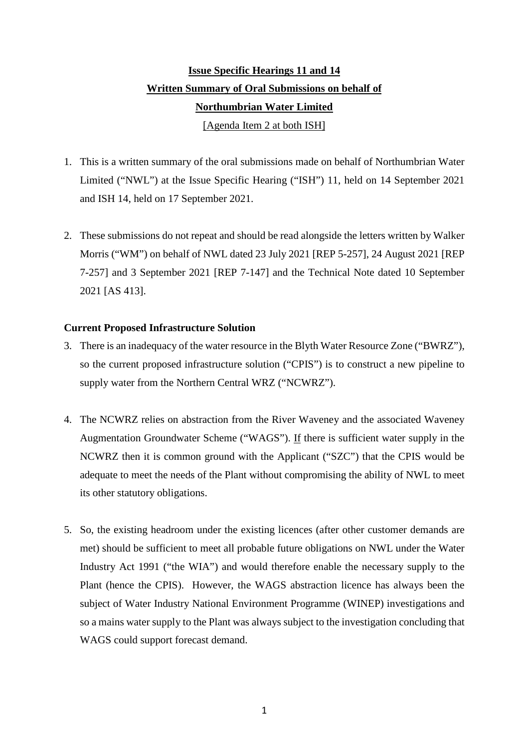# **Issue Specific Hearings 11 and 14 Written Summary of Oral Submissions on behalf of Northumbrian Water Limited**  [Agenda Item 2 at both ISH]

- 1. This is a written summary of the oral submissions made on behalf of Northumbrian Water Limited ("NWL") at the Issue Specific Hearing ("ISH") 11, held on 14 September 2021 and ISH 14, held on 17 September 2021.
- 2. These submissions do not repeat and should be read alongside the letters written by Walker Morris ("WM") on behalf of NWL dated 23 July 2021 [REP 5-257], 24 August 2021 [REP 7-257] and 3 September 2021 [REP 7-147] and the Technical Note dated 10 September 2021 [AS 413].

# **Current Proposed Infrastructure Solution**

- 3. There is an inadequacy of the water resource in the Blyth Water Resource Zone ("BWRZ"), so the current proposed infrastructure solution ("CPIS") is to construct a new pipeline to supply water from the Northern Central WRZ ("NCWRZ").
- 4. The NCWRZ relies on abstraction from the River Waveney and the associated Waveney Augmentation Groundwater Scheme ("WAGS"). If there is sufficient water supply in the NCWRZ then it is common ground with the Applicant ("SZC") that the CPIS would be adequate to meet the needs of the Plant without compromising the ability of NWL to meet its other statutory obligations.
- 5. So, the existing headroom under the existing licences (after other customer demands are met) should be sufficient to meet all probable future obligations on NWL under the Water Industry Act 1991 ("the WIA") and would therefore enable the necessary supply to the Plant (hence the CPIS). However, the WAGS abstraction licence has always been the subject of Water Industry National Environment Programme (WINEP) investigations and so a mains water supply to the Plant was always subject to the investigation concluding that WAGS could support forecast demand.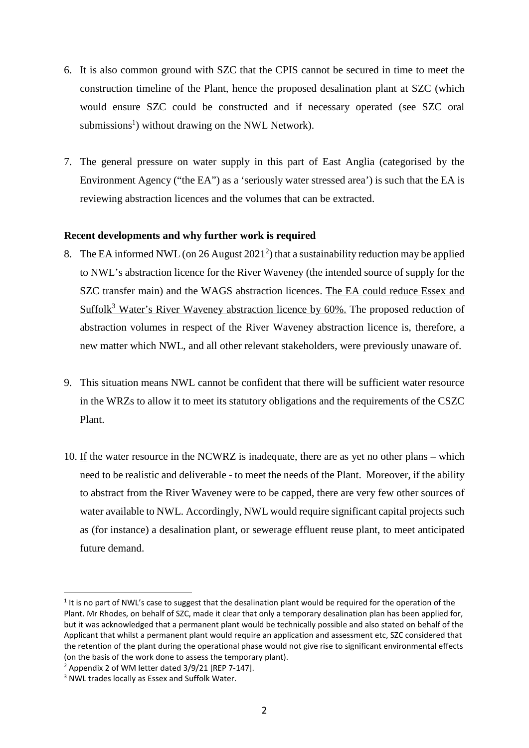- 6. It is also common ground with SZC that the CPIS cannot be secured in time to meet the construction timeline of the Plant, hence the proposed desalination plant at SZC (which would ensure SZC could be constructed and if necessary operated (see SZC oral submissions<sup>1</sup>) without drawing on the NWL Network).
- 7. The general pressure on water supply in this part of East Anglia (categorised by the Environment Agency ("the EA") as a 'seriously water stressed area') is such that the EA is reviewing abstraction licences and the volumes that can be extracted.

## **Recent developments and why further work is required**

- 8. The EA informed NWL (on 26 August  $2021<sup>2</sup>$ ) that a sustainability reduction may be applied to NWL's abstraction licence for the River Waveney (the intended source of supply for the SZC transfer main) and the WAGS abstraction licences. The EA could reduce Essex and Suffolk<sup>3</sup> Water's River Waveney abstraction licence by 60%. The proposed reduction of abstraction volumes in respect of the River Waveney abstraction licence is, therefore, a new matter which NWL, and all other relevant stakeholders, were previously unaware of.
- 9. This situation means NWL cannot be confident that there will be sufficient water resource in the WRZs to allow it to meet its statutory obligations and the requirements of the CSZC Plant.
- 10. If the water resource in the NCWRZ is inadequate, there are as yet no other plans which need to be realistic and deliverable - to meet the needs of the Plant. Moreover, if the ability to abstract from the River Waveney were to be capped, there are very few other sources of water available to NWL. Accordingly, NWL would require significant capital projects such as (for instance) a desalination plant, or sewerage effluent reuse plant, to meet anticipated future demand.

.

<sup>&</sup>lt;sup>1</sup> It is no part of NWL's case to suggest that the desalination plant would be required for the operation of the Plant. Mr Rhodes, on behalf of SZC, made it clear that only a temporary desalination plan has been applied for, but it was acknowledged that a permanent plant would be technically possible and also stated on behalf of the Applicant that whilst a permanent plant would require an application and assessment etc, SZC considered that the retention of the plant during the operational phase would not give rise to significant environmental effects (on the basis of the work done to assess the temporary plant).

<sup>&</sup>lt;sup>2</sup> Appendix 2 of WM letter dated 3/9/21 [REP 7-147].

<sup>&</sup>lt;sup>3</sup> NWL trades locally as Essex and Suffolk Water.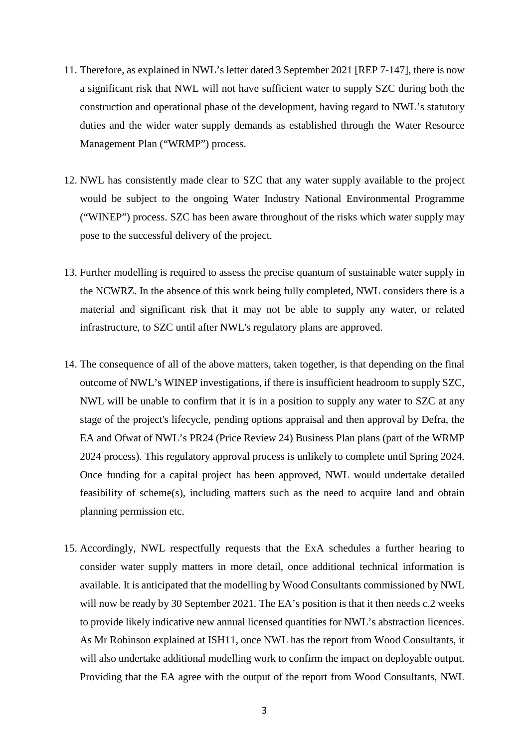- 11. Therefore, as explained in NWL's letter dated 3 September 2021 [REP 7-147], there is now a significant risk that NWL will not have sufficient water to supply SZC during both the construction and operational phase of the development, having regard to NWL's statutory duties and the wider water supply demands as established through the Water Resource Management Plan ("WRMP") process.
- 12. NWL has consistently made clear to SZC that any water supply available to the project would be subject to the ongoing Water Industry National Environmental Programme ("WINEP") process. SZC has been aware throughout of the risks which water supply may pose to the successful delivery of the project.
- 13. Further modelling is required to assess the precise quantum of sustainable water supply in the NCWRZ. In the absence of this work being fully completed, NWL considers there is a material and significant risk that it may not be able to supply any water, or related infrastructure, to SZC until after NWL's regulatory plans are approved.
- 14. The consequence of all of the above matters, taken together, is that depending on the final outcome of NWL's WINEP investigations, if there is insufficient headroom to supply SZC, NWL will be unable to confirm that it is in a position to supply any water to SZC at any stage of the project's lifecycle, pending options appraisal and then approval by Defra, the EA and Ofwat of NWL's PR24 (Price Review 24) Business Plan plans (part of the WRMP 2024 process). This regulatory approval process is unlikely to complete until Spring 2024. Once funding for a capital project has been approved, NWL would undertake detailed feasibility of scheme(s), including matters such as the need to acquire land and obtain planning permission etc.
- 15. Accordingly, NWL respectfully requests that the ExA schedules a further hearing to consider water supply matters in more detail, once additional technical information is available. It is anticipated that the modelling by Wood Consultants commissioned by NWL will now be ready by 30 September 2021. The EA's position is that it then needs c.2 weeks to provide likely indicative new annual licensed quantities for NWL's abstraction licences. As Mr Robinson explained at ISH11, once NWL has the report from Wood Consultants, it will also undertake additional modelling work to confirm the impact on deployable output. Providing that the EA agree with the output of the report from Wood Consultants, NWL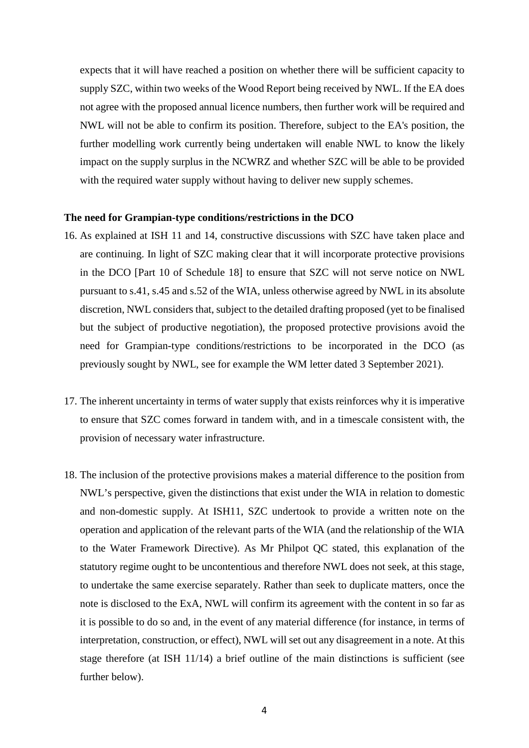expects that it will have reached a position on whether there will be sufficient capacity to supply SZC, within two weeks of the Wood Report being received by NWL. If the EA does not agree with the proposed annual licence numbers, then further work will be required and NWL will not be able to confirm its position. Therefore, subject to the EA's position, the further modelling work currently being undertaken will enable NWL to know the likely impact on the supply surplus in the NCWRZ and whether SZC will be able to be provided with the required water supply without having to deliver new supply schemes.

#### **The need for Grampian-type conditions/restrictions in the DCO**

- 16. As explained at ISH 11 and 14, constructive discussions with SZC have taken place and are continuing. In light of SZC making clear that it will incorporate protective provisions in the DCO [Part 10 of Schedule 18] to ensure that SZC will not serve notice on NWL pursuant to s.41, s.45 and s.52 of the WIA, unless otherwise agreed by NWL in its absolute discretion, NWL considers that, subject to the detailed drafting proposed (yet to be finalised but the subject of productive negotiation), the proposed protective provisions avoid the need for Grampian-type conditions/restrictions to be incorporated in the DCO (as previously sought by NWL, see for example the WM letter dated 3 September 2021).
- 17. The inherent uncertainty in terms of water supply that exists reinforces why it is imperative to ensure that SZC comes forward in tandem with, and in a timescale consistent with, the provision of necessary water infrastructure.
- 18. The inclusion of the protective provisions makes a material difference to the position from NWL's perspective, given the distinctions that exist under the WIA in relation to domestic and non-domestic supply. At ISH11, SZC undertook to provide a written note on the operation and application of the relevant parts of the WIA (and the relationship of the WIA to the Water Framework Directive). As Mr Philpot QC stated, this explanation of the statutory regime ought to be uncontentious and therefore NWL does not seek, at this stage, to undertake the same exercise separately. Rather than seek to duplicate matters, once the note is disclosed to the ExA, NWL will confirm its agreement with the content in so far as it is possible to do so and, in the event of any material difference (for instance, in terms of interpretation, construction, or effect), NWL will set out any disagreement in a note. At this stage therefore (at ISH 11/14) a brief outline of the main distinctions is sufficient (see further below).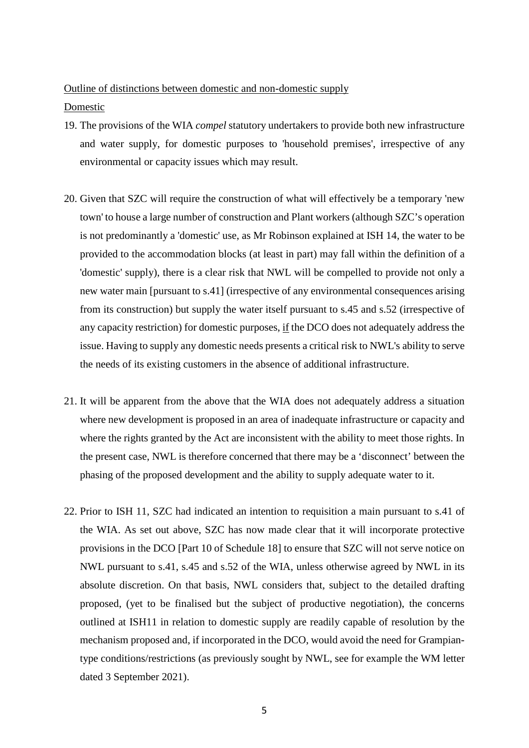## Outline of distinctions between domestic and non-domestic supply

## Domestic

- 19. The provisions of the WIA *compel* statutory undertakers to provide both new infrastructure and water supply, for domestic purposes to 'household premises', irrespective of any environmental or capacity issues which may result.
- 20. Given that SZC will require the construction of what will effectively be a temporary 'new town' to house a large number of construction and Plant workers (although SZC's operation is not predominantly a 'domestic' use, as Mr Robinson explained at ISH 14, the water to be provided to the accommodation blocks (at least in part) may fall within the definition of a 'domestic' supply), there is a clear risk that NWL will be compelled to provide not only a new water main [pursuant to s.41] (irrespective of any environmental consequences arising from its construction) but supply the water itself pursuant to s.45 and s.52 (irrespective of any capacity restriction) for domestic purposes, if the DCO does not adequately address the issue. Having to supply any domestic needs presents a critical risk to NWL's ability to serve the needs of its existing customers in the absence of additional infrastructure.
- 21. It will be apparent from the above that the WIA does not adequately address a situation where new development is proposed in an area of inadequate infrastructure or capacity and where the rights granted by the Act are inconsistent with the ability to meet those rights. In the present case, NWL is therefore concerned that there may be a 'disconnect' between the phasing of the proposed development and the ability to supply adequate water to it.
- 22. Prior to ISH 11, SZC had indicated an intention to requisition a main pursuant to s.41 of the WIA. As set out above, SZC has now made clear that it will incorporate protective provisions in the DCO [Part 10 of Schedule 18] to ensure that SZC will not serve notice on NWL pursuant to s.41, s.45 and s.52 of the WIA, unless otherwise agreed by NWL in its absolute discretion. On that basis, NWL considers that, subject to the detailed drafting proposed, (yet to be finalised but the subject of productive negotiation), the concerns outlined at ISH11 in relation to domestic supply are readily capable of resolution by the mechanism proposed and, if incorporated in the DCO, would avoid the need for Grampiantype conditions/restrictions (as previously sought by NWL, see for example the WM letter dated 3 September 2021).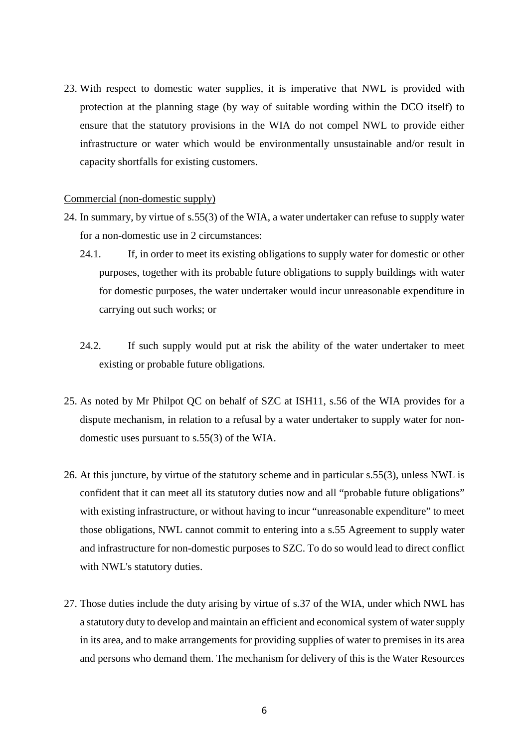23. With respect to domestic water supplies, it is imperative that NWL is provided with protection at the planning stage (by way of suitable wording within the DCO itself) to ensure that the statutory provisions in the WIA do not compel NWL to provide either infrastructure or water which would be environmentally unsustainable and/or result in capacity shortfalls for existing customers.

#### Commercial (non-domestic supply)

- 24. In summary, by virtue of s.55(3) of the WIA, a water undertaker can refuse to supply water for a non-domestic use in 2 circumstances:
	- 24.1. If, in order to meet its existing obligations to supply water for domestic or other purposes, together with its probable future obligations to supply buildings with water for domestic purposes, the water undertaker would incur unreasonable expenditure in carrying out such works; or
	- 24.2. If such supply would put at risk the ability of the water undertaker to meet existing or probable future obligations.
- 25. As noted by Mr Philpot QC on behalf of SZC at ISH11, s.56 of the WIA provides for a dispute mechanism, in relation to a refusal by a water undertaker to supply water for nondomestic uses pursuant to s.55(3) of the WIA.
- 26. At this juncture, by virtue of the statutory scheme and in particular s.55(3), unless NWL is confident that it can meet all its statutory duties now and all "probable future obligations" with existing infrastructure, or without having to incur "unreasonable expenditure" to meet those obligations, NWL cannot commit to entering into a s.55 Agreement to supply water and infrastructure for non-domestic purposes to SZC. To do so would lead to direct conflict with NWL's statutory duties.
- 27. Those duties include the duty arising by virtue of s.37 of the WIA, under which NWL has a statutory duty to develop and maintain an efficient and economical system of water supply in its area, and to make arrangements for providing supplies of water to premises in its area and persons who demand them. The mechanism for delivery of this is the Water Resources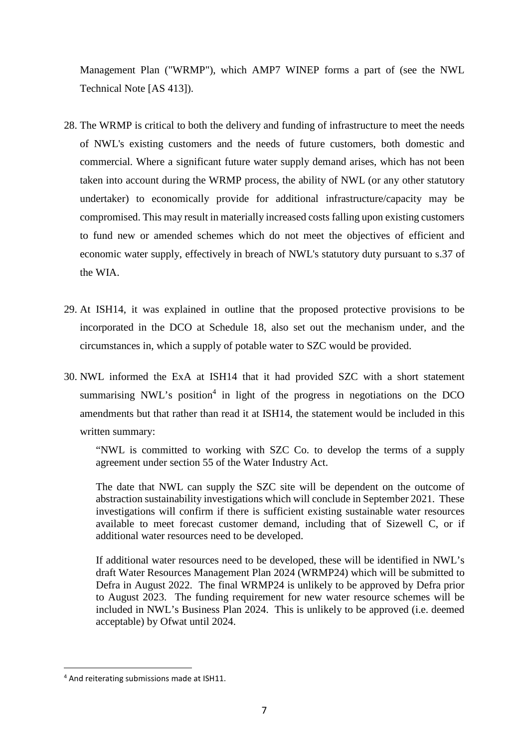Management Plan ("WRMP"), which AMP7 WINEP forms a part of (see the NWL Technical Note [AS 413]).

- 28. The WRMP is critical to both the delivery and funding of infrastructure to meet the needs of NWL's existing customers and the needs of future customers, both domestic and commercial. Where a significant future water supply demand arises, which has not been taken into account during the WRMP process, the ability of NWL (or any other statutory undertaker) to economically provide for additional infrastructure/capacity may be compromised. This may result in materially increased costs falling upon existing customers to fund new or amended schemes which do not meet the objectives of efficient and economic water supply, effectively in breach of NWL's statutory duty pursuant to s.37 of the WIA.
- 29. At ISH14, it was explained in outline that the proposed protective provisions to be incorporated in the DCO at Schedule 18, also set out the mechanism under, and the circumstances in, which a supply of potable water to SZC would be provided.
- 30. NWL informed the ExA at ISH14 that it had provided SZC with a short statement summarising NWL's position<sup>4</sup> in light of the progress in negotiations on the DCO amendments but that rather than read it at ISH14, the statement would be included in this written summary:

"NWL is committed to working with SZC Co. to develop the terms of a supply agreement under section 55 of the Water Industry Act.

The date that NWL can supply the SZC site will be dependent on the outcome of abstraction sustainability investigations which will conclude in September 2021. These investigations will confirm if there is sufficient existing sustainable water resources available to meet forecast customer demand, including that of Sizewell C, or if additional water resources need to be developed.

If additional water resources need to be developed, these will be identified in NWL's draft Water Resources Management Plan 2024 (WRMP24) which will be submitted to Defra in August 2022. The final WRMP24 is unlikely to be approved by Defra prior to August 2023. The funding requirement for new water resource schemes will be included in NWL's Business Plan 2024. This is unlikely to be approved (i.e. deemed acceptable) by Ofwat until 2024.

1

<sup>&</sup>lt;sup>4</sup> And reiterating submissions made at ISH11.